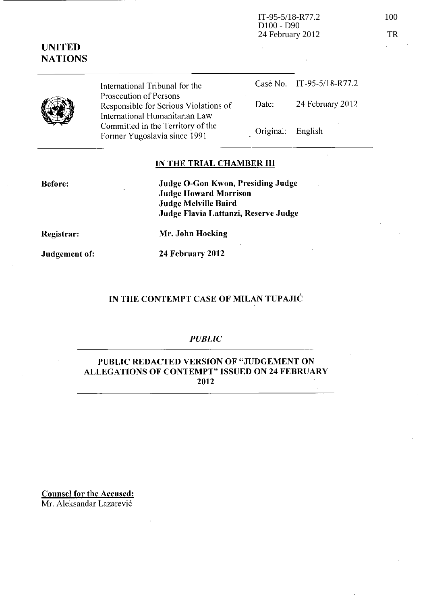IT-95-5/18-R77.2 100 D100 - D90 24 February 2012 TR

## UNITED **NATIONS**

International Tribunal for the Prosecution of Persons Responsible for Serious Violations of International Humanitarian Law Committed in the Territory of the Former Yugoslavia since 1991

Case No. IT -9S-SI18-R77.2 Date: 24 February 2012 Original: English

## IN THE TRIAL CHAMBER III

Before:

Judge O-Gon Kwon, Presiding Judge Judge Howard Morrison Judge MelviIle Baird Judge Flavia Lattanzi, Reserve Judge

Registrar:

24 February 2012

Mr. John Hocking

## Judgement of:

## IN THE CONTEMPT CASE OF MILAN TUPAJIC

### *PUBLIC*

## PUBLIC REDACTED VERSION OF "JUDGEMENT ON ALLEGATIONS OF CONTEMPT" ISSUED ON 24 FEBRUARY 2012

Counsel for the Accused: Mr. Aleksandar Lazarević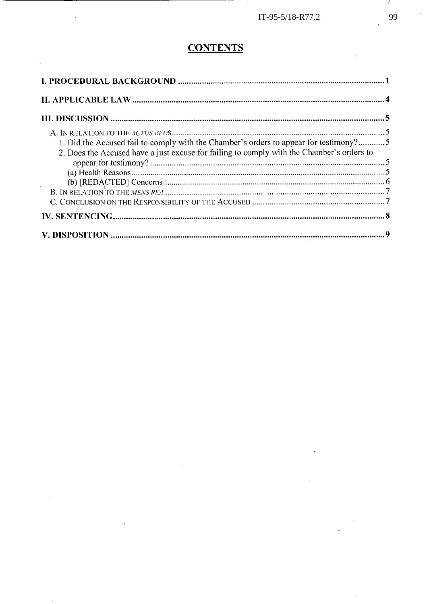$\bar{z}$ 

 $\hat{\boldsymbol{\lambda}}$ 

ï

# **CONTENTS**

 $\overline{\phantom{a}}$ 

 $\ddot{\phantom{a}}$ 

| 1. Did the Accused fail to comply with the Chamber's orders to appear for testimony?5     |  |
|-------------------------------------------------------------------------------------------|--|
| 2. Does the Accused have a just excuse for failing to comply with the Chamber's orders to |  |
|                                                                                           |  |
|                                                                                           |  |
|                                                                                           |  |
|                                                                                           |  |
|                                                                                           |  |
|                                                                                           |  |
|                                                                                           |  |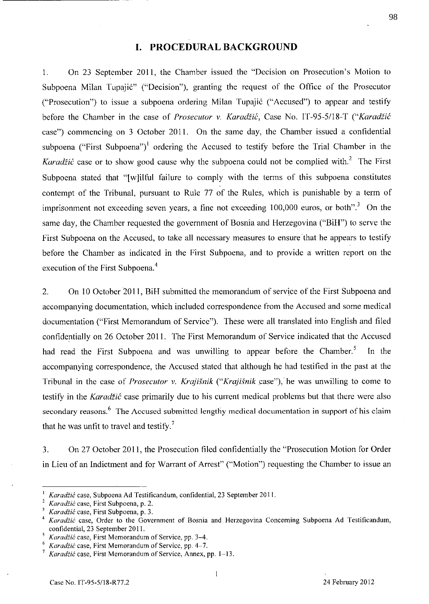## **I.** PROCEDURAL BACKGROUND

I. On 23 September 2011, the Chamber issued the "Decision on Prosecution's Motion to Subpoena Milan Tupajic" ("Decision"), granting the request of the Office of the Prosecutor ("Prosecution") to issue a subpoena ordering Milan Tupajic ("Accused") to appear and testify before the Chamber in the case of *Prosecutor* v. *Karadiic,* Case No. IT-95-5/l8-T *("Karadiic*  case") commencing on 3 October 2011. On the same day, the Chamber issued a confidential subpoena ("First Subpoena")<sup>1</sup> ordering the Accused to testify before the Trial Chamber in the *Karadžić* case or to show good cause why the subpoena could not be complied with.<sup>2</sup> The First Subpoena stated that "[w]ilful failure to comply with the terms of this subpoena constitutes contempt of the Tribunal, pursuant to Rule 77 of the Rules, which is punishable by a term of imprisonment not exceeding seven years, a fine not exceeding  $100,000$  euros, or both".<sup>3</sup> On the same day, the Chamber requested the government of Bosnia and Herzegovina ("BiH") to serve the First Subpoena on the Accused, to take all necessary measures to ensure that he appears to testify before the Chamber as indicated in the First Subpoena, and to provide a written report on the execution of the First Subpoena.<sup>4</sup>

2. On 10 October 2011, BiH submitted the memorandum of service of the First Subpoena and accompanying documentation, which included correspondence from the Accused and some medical documentation ("First Memorandum of Service"). These were all translated into English and filed contidentially on 26 October 2011. The First Memorandum of Service indicated that the Accused had read the First Subpoena and was unwilling to appear before the Chamber.<sup>5</sup> In the accompanying correspondence, the Accused stated that although he had testified in the past at the Tribunal in the case of *Prosecutor v. Krajišnik* ("*Krajišnik* case"), he was unwilling to come to testify in the *Karadžić* case primarily due to his current medical problems but that there were also secondary reasons.<sup>6</sup> The Accused submitted lengthy medical documentation in support of his claim that he was unfit to travel and testify.<sup>7</sup>

3. On 27 October 2011, the Prosecution filed confidentially the "Prosecution Motion for Order in Lieu of an Indictment and for Warrant of Arrest" ("Motion") requesting the Chamber to issue an

<sup>I</sup>*Karadiic* case, Subpoena Ad Testificandum, confidential, 23 September 2011.

<sup>&</sup>lt;sup>2</sup> Karadžić case, First Subpoena, p. 2.

<sup>&</sup>lt;sup>3</sup> *Karadžić* case, First Subpoena, p. 3.

<sup>&</sup>lt;sup>4</sup> Karadžić case, Order to the Government of Bosnia and Herzegovina Concerning Subpoena Ad Testificandum, confidential, 23 September 2011.

*Karadiii:* **case, First Memorandum of Service, pp. 3-4.** 

*Karadžić* case, First Memorandum of Service, pp. 4-7.

<sup>7</sup>*Karadiii:* **case, First Memorandum** of Service, **Annex, pp.** 1~13.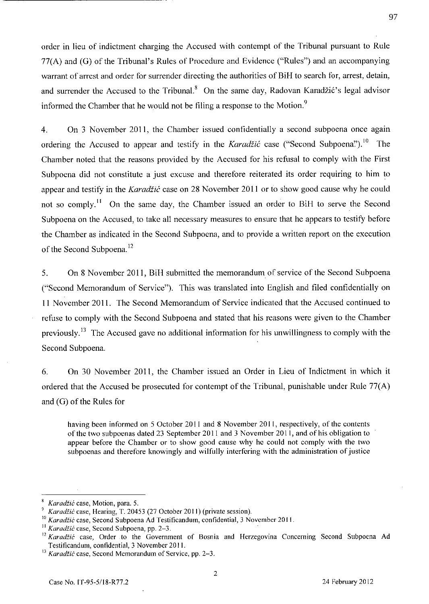order in lieu of indictment charging the Accused with contempt of the Tribunal pursuant to Rule 77(A) and (G) of the Tribunal's Rules of Procedure and Evidence ("Rules") and an accompanying warrant of arrcst and order for surrender directing the authorities of BiH to search for, arrest, detain, and surrender the Accused to the Tribunal.<sup>8</sup> On the same day, Radovan Karadžić's legal advisor informed the Chamber that he would not be filing a response to the Motion.<sup>9</sup>

4. On 3 November 2011, the Chamber issued confidentially a second subpoena once again ordering the Accused to appear and testify in the *Karadžić* case ("Second Subpoena").<sup>10</sup> The Chamber noted that the reasons provided by the Accused for his refusal to comply with the First Subpoena did not constitute a just excuse and therefore reiterated its order requiring to him to appear and testify in the *Karadiic* case on 28 November 2011 or to show good cause why he could not so comply.<sup>11</sup> On the same day, the Chamber issued an order to BiH to serve the Second Subpoena on the Accused, to take all necessary measures to ensure that he appears to testify before the Chamber as indicated in the Second Subpoena, and to provide a written report on the execution of the Second Subpoena.<sup>12</sup>

5. On 8 November 2011, BiH submitted the memorandum of service of the Second Subpoena ("Second Memorandum of Service"). This was translated into English and filed contidentially on 11 November 2011. The Second Memorandum of Service indicated that the Accused continued to refuse to comply with the Second Subpoena and stated that his reasons were given to the Chamber previously.<sup>13</sup> The Accused gave no additional information for his unwillingness to comply with the Second Subpoena.

6. On 30 November 2011, the Chamber issued an Order in Lieu of Indictment in which it ordered that the Accused be prosecuted for contempt of the Tribunal, punishable under Rule 77(A) and  $(G)$  of the Rules for

having been informed on 5 October 2011 and 8 November 2011, respectively, of the contents of the two subpoenas dated 23 September 2011 and 3 November 2011, and of his obligation to appear before the Chamber or to show good cause why he could not comply with the two subpoenas and therefore knowingly and wilfully interfering with the administration of justice

<sup>&</sup>lt;sup>8</sup> Karadžić case, Motion, para. 5.

<sup>&</sup>lt;sup>9</sup> Karadžić case, Hearing, T. 20453 (27 October 2011) (private session).

<sup>&</sup>lt;sup>10</sup> Karadžić case, Second Subpoena Ad Testificandum, confidential, 3 November 2011.

<sup>&</sup>lt;sup>11</sup> Karadžić case, Second Subpoena, pp. 2-3.

<sup>&</sup>lt;sup>12</sup> Karadžić case, Order to the Government of Bosnia and Herzegovina Concerning Second Subpoena Ad Testificandum, confidential, 3 November 2011.

<sup>&</sup>lt;sup>13</sup> Karadžić case, Second Memorandum of Service, pp. 2-3.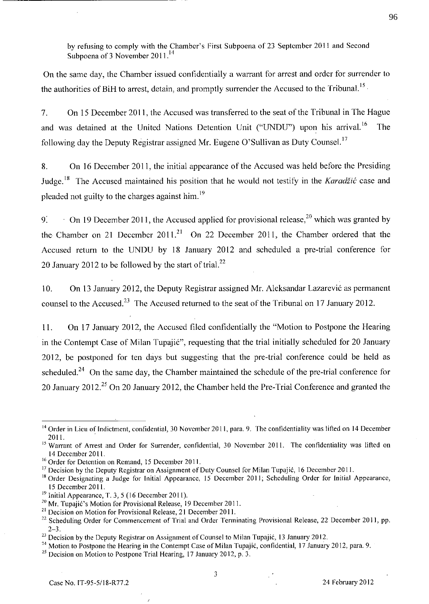by refusing to comply with the Chamber's First Subpoena of 23 September 2011 and Second Subpoena of 3 November 2011.<sup>14</sup>

On the same day, the Chamber issued contidentially a warrant for arrest and order for surrender to the authorities of BiH to arrest, detain, and promptly surrender the Accused to the Tribunal.<sup>15</sup>

7. On 15 December 2011, the Accused was transferred to the seat of the Tribunal in The Hague and was detained at the United Nations Detention Unit ("UNDU") upon his arrival.<sup>16</sup> The following day the Deputy Registrar assigned Mr. Eugene O'Sullivan as Duty Counsel. 17

8. On 16 December 2011, the initial appearance of the Accused was held before the Presiding Judge.<sup>18</sup> The Accused maintained his position that he would not testify in the *Karadžić* case and pleaded not guilty to the charges against him. <sup>19</sup>

9. On 19 December 2011, the Accused applied for provisional release,  $2^0$  which was granted by the Chamber on 21 December 2011.<sup>21</sup> On 22 December 2011, the Chamber ordered that the Accused return to the UNDU by 18 January 2012 and scheduled a pre-trial conference for 20 January 2012 to be followed by the start of trial.<sup>22</sup>

10. On 13 January 2012, the Deputy Registrar assigned Mr. Aleksandar Lazarevic as permanent counsel to the Accused.<sup>23</sup> The Accused returned to the seat of the Tribunal on 17 January 2012.

11. On 17 January 2012, the Accused filed confidentially the "Motion to Postpone the Hearing in the Contempt Case of Milan Tupajic", requesting that the trial initially scheduled for 20 January 2012, be postponed for ten days but suggesting that the pre-trial conference could be held as scheduled.<sup>24</sup> On the same day, the Chamber maintained the schedule of the pre-trial conference for 20 January 2012.<sup>25</sup> On 20 January 2012, the Chamber held the Pre-Trial Conference and granted the

<sup>&</sup>lt;sup>14</sup> Order in Lieu of Indictment, confidential, 30 November 2011, para. 9. The confidentiality was lifted on 14 December 2011. .

<sup>&</sup>lt;sup>15</sup> Warrant of Arrest and Order for Surrender, confidential, 30 November 2011. The confidentiality was lifted on 14 December 2011.

<sup>&</sup>lt;sup>16</sup> Order for Detention on Remand, 15 December 2011.

 $17$  Decision by the Deputy Registrar on Assignment of Duty Counsel for Milan Tupajić, 16 December 2011.

<sup>&</sup>lt;sup>18</sup> Order Designating a Judge for Initial Appearance, 15 December 2011; Scheduling Order for Initial Appearance, 15 December 20 11.

 $19$  Initial Appearance, T. 3, 5 (16 December 2011).

 $20$  Mr. Tupajić's Motion for Provisional Release, 19 December 2011.

 $21$  Decision on Motion for Provisional Release, 21 December 2011.

<sup>&</sup>lt;sup>22</sup> Scheduling Order for Commencement of Trial and Order Terminating Provisional Release, 22 December 2011, pp.  $2 - 3$ .

 $^{23}$  Decision by the Deputy Registrar on Assignment of Counsel to Milan Tupajić, 13 January 2012.

<sup>&</sup>lt;sup>24</sup> Motion to Postpone the Hearing in the Contempt Case of Milan Tupajić, confidential, 17 January 2012, para. 9.

 $^{25}$  Decision on Motion to Postpone Trial Hearing, 17 January 2012, p. 3.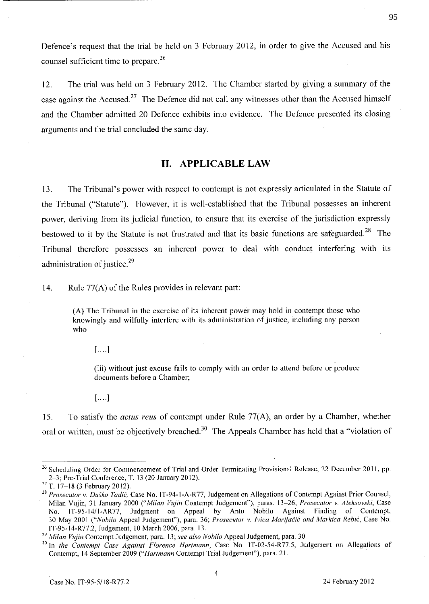Defence's request that the trial be held on 3 February 2012, in order to give the Accused and his counsel sufficient time to prepare.<sup>26</sup>

12. The trial was held on 3 February 2012. The Chamber started by giving a summary of the case against the Accused.<sup>27</sup> The Defence did not call any witnesses other than the Accused himself and the Chamber admitted 20 Defence exhibits into evidence. The Defence presented its closing arguments and the trial concluded the same day.

## **H. APPLICABLE LAW**

13. The Tribunal's power with respect to contempt is not expressly articulated in the Statute of the Tribunal ("Statute"). However, it is well-established that the Tribunal possesses an inherent power, deriving from its judicial function, to ensure that its exercise of the jurisdiction expressly bestowed to it by the Statute is not frustrated and that its basic functions are safeguarded.<sup>28</sup> The Tribunal therefore possesses an inherent power to deal with conduct interfering with its administration of justice. $29$ 

14. Rule 77(A) of the Rules provides in relevant part:

(A) The Tribunal in the exercise of its inherent power may hold in contempt those who knowingly and wilfully interfere with its administration of justice, including any person who

 $[$ .... $]$ 

(iii) without just excuse fails to comply with an order to attend before or produce documents before a Chamber;

 $[...]$ 

15. To satisfy the *actus reus* of contempt under Rule 77(A), an order by a Chamber, whether oral or written, must be objectively breached.<sup>30</sup> The Appeals Chamber has held that a "violation of

<sup>&</sup>lt;sup>26</sup> Scheduling Order for Commencement of Trial and Order Terminating Provisional Release, 22 December 2011, pp. 2-3; Pre-Trial Conference, T. 13 (20 January 2012).

<sup>27</sup> T. 17-18(3 February 2012).

<sup>&</sup>lt;sup>28</sup> Prosecutor v. Duško Tadić, Case No. IT-94-1-A-R77, Judgement on Allegations of Contempt Against Prior Counsel, Milan Vujin, 31 January 2000 *("Milan Vujin* Contempt Judgement"), paras. 13-26; *Prosecutor v. Aleksovski,* Case No. IT-9S-14/l-AR77, Judgment on Appeal by Anto Nobilo Against Finding of Contempt, 30 May 200 I *("Nobilo* Appeal Judgement"), para. 36; *Prosecutor* v. *Ivica Marijacic and Markica Rebio,* Case No. IT-9S-14-R77.2, Judgement, 10 March 2006, para. 13.

<sup>29</sup>*Milan Vujin* Contempt Judgement, para. 13; *see also Nobilo* Appeal Judgement, para. 30

<sup>30</sup> In *the Contempt Case Against Florence Hartmann,* Case No. IT-02-S4-R77.S, Judgement on Allegations of Contempt, 14 September 2009 ("*Hartmann* Contempt Trial Judgement"), para. 21.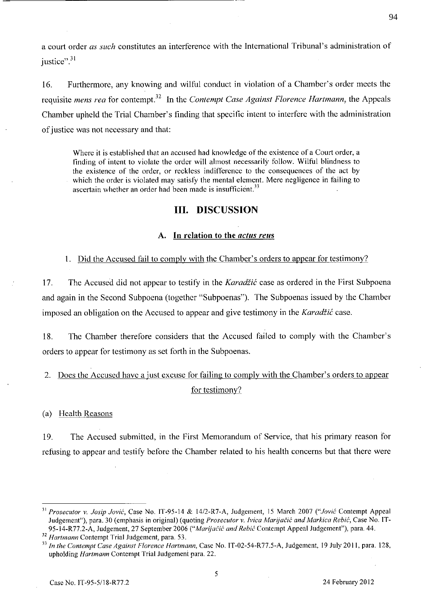a court order *as such* constitutes an interference with the Intcrnational Tribunal's administration of justice". $^{31}$ 

16. Furthermore, any knowing and wilful conduct in violation of a Chamber's order meets the requisite *mens rea* for contempt.<sup>32</sup> In the *Contempt Case Against Florence Hartmann*, the Appeals Chamber upheld the Trial Chamber's finding that specific intent to interfere with the administration of justice was not necessary and that:

Where it is established that an accused had knowledge of the existence of a Court order, a finding of intent to violate the order will almost necessarily follow. Wilful blindness to the existence of the order, or reckless indifference to the consequences of the act by whieh the order is violated may satisfy the mental element. Mere negligence in failing to ascertain whether an order had been made is insufficient.<sup>33</sup>

## **Ill. DISCUSSION**

#### A. **In** relation to the *actus reus*

#### I. Did the Accused fail to comply with the Chamber's orders to appear for testimony?

17. The Accused did not appcar to testify in the *Karadiic* case as ordered in the First Subpoena and again in the Second Subpoena (together "Subpoenas"). The Subpoenas issued by the Chamber imposed an obligation on the Accused to appear and give testimony in the *Karadžić* case.

18. The Chamber therefore considers that the Accused failed to comply with the Chamber's orders to appear for testimony as set forth in the Subpoenas.

## 2. Does the Accused have a just excuse for failing to comply with the Chamber's orders to appear for testimony?

(a) Health Reasons

19. The Accused submitted, in the First Memorandum of Service, that his primary reason for refusing to appear and testify before the Chamber related to his health concerns but that there were

<sup>&</sup>lt;sup>31</sup> Prosecutor v. Josip Jović, Case No. IT-95-14 & 14/2-R7-A, Judgement, 15 March 2007 *("Jović Contempt Appeal* Judgement"), para. 30 (emphasis in original) (quoting *Prosecutor v. Ivica Marijačić and Markica Rebić*, Case No. IT-95-14-R77.2-A, Judgement, 27 September 2006 ("Marijačić and Rebić Contempt Appeal Judgement"), para. 44.

<sup>32</sup>*Hartmann* Contempt Trial Judgement, para. 53.

*<sup>33</sup> In the Contempt Case Against Florence Hartmann,* Case No. IT-02-54-R77.5-A, Judgement, 19 July 2011, para. 128, upholding *Hartmann* Contempt Trial Judgement para. 22.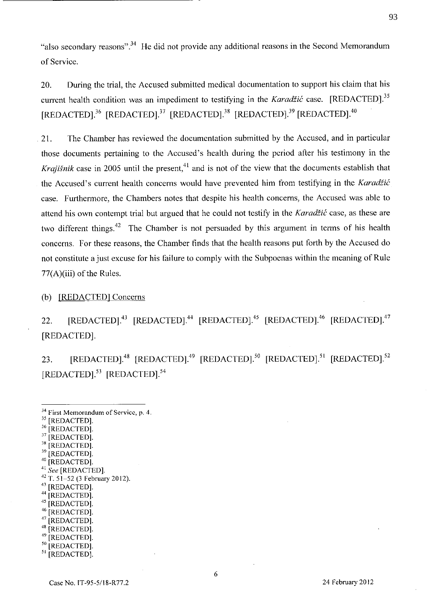"also secondary reasons".<sup>34</sup> He did not provide any additional reasons in the Second Memorandum of Service.

20. During the trial, the Accused submitted medical documentation to support his claim that his current health condition was an impediment to testifying in the *Karadžić* case. [REDACTED].<sup>35</sup> [REDACTED].<sup>36</sup> [REDACTED].<sup>37</sup> [REDACTED].<sup>38</sup> [REDACTED].<sup>39</sup> [REDACTED].<sup>40</sup>

21. The Chamber has reviewed the documentation submitted by the Accused, and in particular those documents pertaining to the Accused's health during the period after his testimony in the *Krajišnik* case in 2005 until the present,<sup>41</sup> and is not of the view that the documents establish that the Accused's current health concerns would have prevented him from testifying in the *Karadiic*  case. Furthermore, the Chambers notes that despite his health concerns, the Accused was able to attend his own contempt trial but argued that he could not testify in the *Karadžić* case, as these are two different things.<sup>42</sup> The Chamber is not persuaded by this argument in terms of his health concerns. For these reasons, the Chamber tinds that the health reasons put forth by the Accused do not constitute a just excuse for his failure to comply with the Subpoenas within the meaning of Rule  $77(A)(iii)$  of the Rules.

#### (b) [REDACTED] Concerns

22. [REDACTED].<sup>43</sup> [REDACTED].<sup>44</sup> [REDACTED].<sup>45</sup> [REDACTED].<sup>46</sup> [REDACTED].<sup>47</sup> [REDACTEDJ.

23. [REDACTED].<sup>48</sup> [REDACTED].<sup>49</sup> [REDACTED].<sup>50</sup> [REDACTED].<sup>51</sup> [REDACTED].<sup>52</sup> [REDACTED].<sup>53</sup> [REDACTED].<sup>54</sup>

<sup>34</sup>**First Memorandum of Service, p. 4.**  <sup>35</sup> [REDACTED]. <sup>36</sup> [REDACTED]. [REDACTED]. [REDACTED] <sup>39</sup> [REDACTED]. <sup>40</sup> [REDACTED]. <sup>41</sup>*See* [REDACTEDj.  $42$  T.  $51-52$  (3 February 2012). <sup>43</sup> [REDACTED]. [REDACTED]. [REDACTED]. [REDACTED] [REDACTED] [REDACTED] [REDACTED] [REDACTED]. [REDACTED].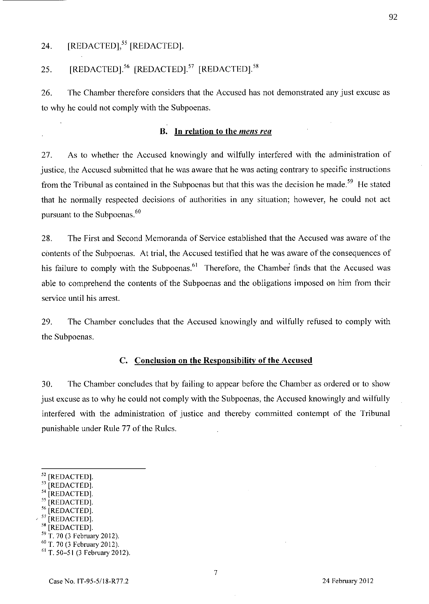# 24. [REDACTED],<sup>55</sup> [REDACTED].

## 25. [REDACTED].<sup>56</sup> [REDACTED].<sup>57</sup> [REDACTED].<sup>58</sup>

26. The Chamber therefore considers that the Accused has not demonstrated any just excuse as to why he could not comply with the Subpoenas.

## **B. In rclation to the** *mens rea*

27. As to whether the Accused knowingly and wilfully intcrfered with the administration of justice, the Accused submitted that he was aware that he was acting contrary to specific instructions from the Tribunal as contained in the Subpoenas but that this was the decision he made.<sup>59</sup> He stated that he normally respected decisions of authorities in any situation; however, he could not act pursuant to the Subpoenas.<sup>60</sup>

28. The First and Second Memoranda of Service established that the Accused was aware of the contents of the Subpoenas. At trial, the Accused testified that he was aware of the consequences of his failure to comply with the Subpoenas.<sup>61</sup> Therefore, the Chamber finds that the Accused was able to comprehend the contents of the Subpoenas and the obligations imposed on him from their service until his arrest.

29. The Chamber concludes that the Accused knowingly and wilfully refused to comply with the Subpoenas.

### **C. Conclusion on the Responsibility of the Accused**

30. The Chamber concludes that by failing to appear before the Chamber as ordered or to show just excuse as to why he could not comply with the Subpoenas, the Accused knowingly and wilfully interfered with the administration of justice and thereby committed contempt of the Tribunal punishable under Rule 77 of the Rules.

- $^{54}$  [REDACTED]
- <sup>33</sup> [REDACTED].<br><sup>56</sup> [REDACTED].
- 

- <sup>58</sup> [REDACTED].
- 59 T. 70 (3 February 20 12). 60 T. 70 (3 February 2012).

<sup>52 [</sup>REDACTED].

<sup>53 [</sup>REDACTED].

<sup>&</sup>lt;sup>57</sup> [REDACTED].

 $61$  T. 50-51 (3 February 2012).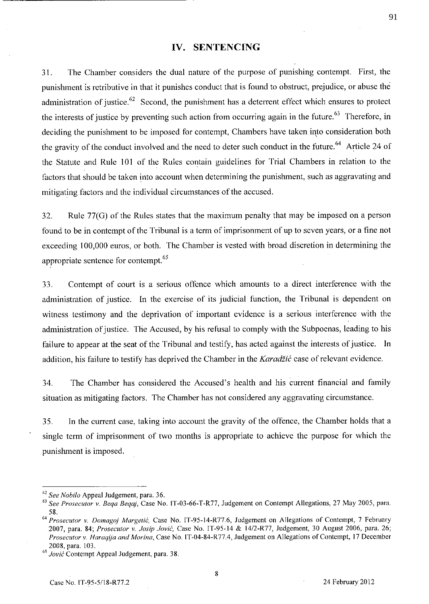### **IV. SENTENCING**

31. The Chamber considers the dual nature of the purpose of punishing contempt. First, the punishment is retributive in that it punishes conduct that is found to obstruct, prejudice, or abuse the administration of justice.<sup>62</sup> Second, the punishment has a deterrent effect which ensures to protect the interests of justice by preventing such action from occurring again in the future.<sup>63</sup> Therefore, in deciding the punishment to be imposed for contempt, Chambers have taken into consideration both the gravity of the conduct involved and the need to deter such conduct in the future.<sup>64</sup> Article 24 of the Statute and Rule 101 of the Rules contain guidelines for Trial Chambers in relation to the factors that should be taken into account when determining the punishment, such as aggravating and mitigating factors and the individual circumstances of the accused.

32. Rule 77(G) of the Rules states that the maximum penalty that may be imposed on a person found to be in contempt of the Tribunal is a term of imprisonment of up to seven years, or a fine not exceeding 100,000 euros, or both. The Chamber is vested with broad discretion in determining the appropriate sentence for contempt.<sup>65</sup>

33. Contempt of court is a serious offence which amounts to a direct interference with the administration of justicc. In the exercise of its judicial function, the Tribunal is dependent on witness testimony and the deprivation of important evidence is a serious interference with the administration of justice. The Accused, by his refusal to comply with the Subpoenas, leading to his failure to appear at the seat of the Tribunal and testify, has acted against the interests of justice. **In**  addition, his failure to testify has deprived the Chamber in the *Karadžić* case of relevant evidence.

34. The Chamber has considered the Accused's health and his current financial and family situation as mitigating factors. The Chamber has not considered any aggravating circumstance.

35. **In** the current case, taking into account the gravity of the offence, the Chamber holds that a single term of imprisonment of two months is appropriate to achieve the purpose for which the punishment is imposed.

*<sup>62</sup> See Nobilo* Appeal Judgement, para. 36.

<sup>63</sup>*See Prosecutor* v. *Beqa Beqa),* Case No. IT-03-66-T-R77, Judgement on Contempt Allegations, 27 May 2005, para. 58.

*<sup>64</sup> Prosecutor v. Domago) Margetic.* Case No. IT-95-14-R77.6, Judgement on Allegations of Contempt, 7 February 2007, para. 84; *Prosecutor v. Josip Jnvic,* Case No. IT-95-14 & 1412-R77, Judgement, 30 August 2006, para. 26; *Prosecutor v. Haraqija and Morina,* Case No. IT-04-84-R77.4, Judgement on Allegations of Contempt, 17 December 2008, para. 103.

*<sup>65</sup> Jovic* Contempt Appeal Judgement, para. 38.